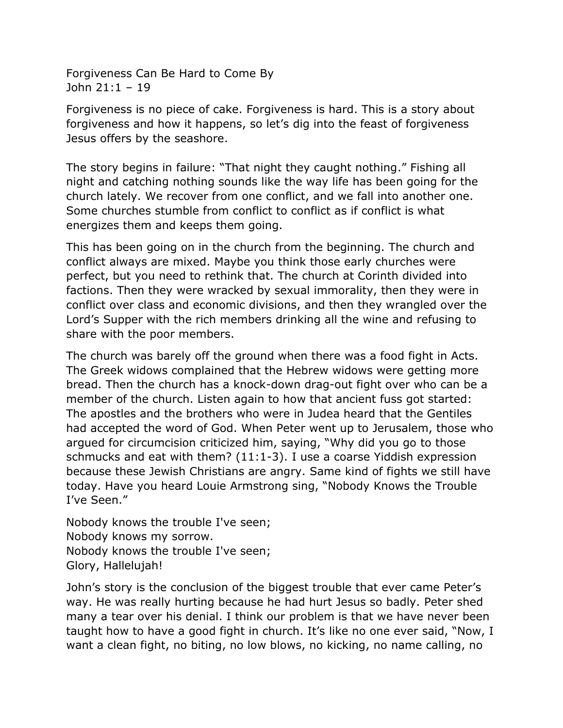Forgiveness Can Be Hard to Come By John 21:1 – 19

Forgiveness is no piece of cake. Forgiveness is hard. This is a story about forgiveness and how it happens, so let's dig into the feast of forgiveness Jesus offers by the seashore.

The story begins in failure: "That night they caught nothing." Fishing all night and catching nothing sounds like the way life has been going for the church lately. We recover from one conflict, and we fall into another one. Some churches stumble from conflict to conflict as if conflict is what energizes them and keeps them going.

This has been going on in the church from the beginning. The church and conflict always are mixed. Maybe you think those early churches were perfect, but you need to rethink that. The church at Corinth divided into factions. Then they were wracked by sexual immorality, then they were in conflict over class and economic divisions, and then they wrangled over the Lord's Supper with the rich members drinking all the wine and refusing to share with the poor members.

The church was barely off the ground when there was a food fight in Acts. The Greek widows complained that the Hebrew widows were getting more bread. Then the church has a knock-down drag-out fight over who can be a member of the church. Listen again to how that ancient fuss got started: The apostles and the brothers who were in Judea heard that the Gentiles had accepted the word of God. When Peter went up to Jerusalem, those who argued for circumcision criticized him, saying, "Why did you go to those schmucks and eat with them? (11:1-3). I use a coarse Yiddish expression because these Jewish Christians are angry. Same kind of fights we still have today. Have you heard Louie Armstrong sing, "Nobody Knows the Trouble I've Seen."

Nobody knows the trouble I've seen; Nobody knows my sorrow. Nobody knows the trouble I've seen; Glory, Hallelujah!

John's story is the conclusion of the biggest trouble that ever came Peter's way. He was really hurting because he had hurt Jesus so badly. Peter shed many a tear over his denial. I think our problem is that we have never been taught how to have a good fight in church. It's like no one ever said, "Now, I want a clean fight, no biting, no low blows, no kicking, no name calling, no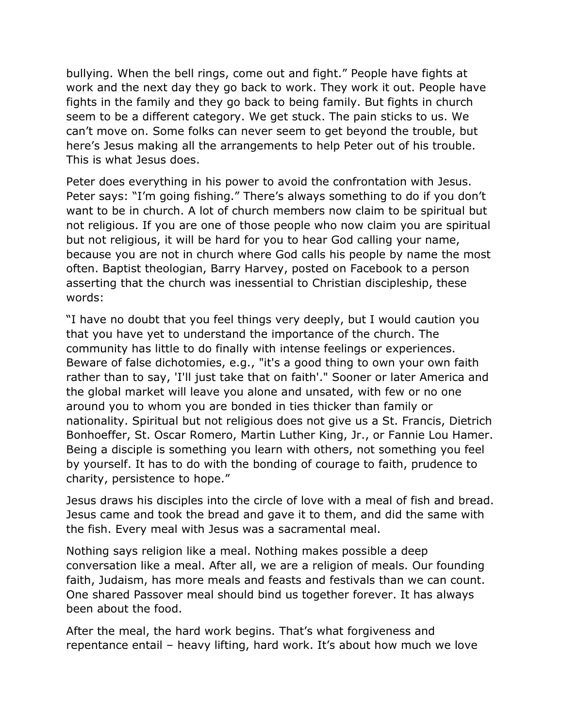bullying. When the bell rings, come out and fight." People have fights at work and the next day they go back to work. They work it out. People have fights in the family and they go back to being family. But fights in church seem to be a different category. We get stuck. The pain sticks to us. We can't move on. Some folks can never seem to get beyond the trouble, but here's Jesus making all the arrangements to help Peter out of his trouble. This is what Jesus does.

Peter does everything in his power to avoid the confrontation with Jesus. Peter says: "I'm going fishing." There's always something to do if you don't want to be in church. A lot of church members now claim to be spiritual but not religious. If you are one of those people who now claim you are spiritual but not religious, it will be hard for you to hear God calling your name, because you are not in church where God calls his people by name the most often. Baptist theologian, Barry Harvey, posted on Facebook to a person asserting that the church was inessential to Christian discipleship, these words:

"I have no doubt that you feel things very deeply, but I would caution you that you have yet to understand the importance of the church. The community has little to do finally with intense feelings or experiences. Beware of false dichotomies, e.g., "it's a good thing to own your own faith rather than to say, 'I'll just take that on faith'." Sooner or later America and the global market will leave you alone and unsated, with few or no one around you to whom you are bonded in ties thicker than family or nationality. Spiritual but not religious does not give us a St. Francis, Dietrich Bonhoeffer, St. Oscar Romero, Martin Luther King, Jr., or Fannie Lou Hamer. Being a disciple is something you learn with others, not something you feel by yourself. It has to do with the bonding of courage to faith, prudence to charity, persistence to hope."

Jesus draws his disciples into the circle of love with a meal of fish and bread. Jesus came and took the bread and gave it to them, and did the same with the fish. Every meal with Jesus was a sacramental meal.

Nothing says religion like a meal. Nothing makes possible a deep conversation like a meal. After all, we are a religion of meals. Our founding faith, Judaism, has more meals and feasts and festivals than we can count. One shared Passover meal should bind us together forever. It has always been about the food.

After the meal, the hard work begins. That's what forgiveness and repentance entail – heavy lifting, hard work. It's about how much we love